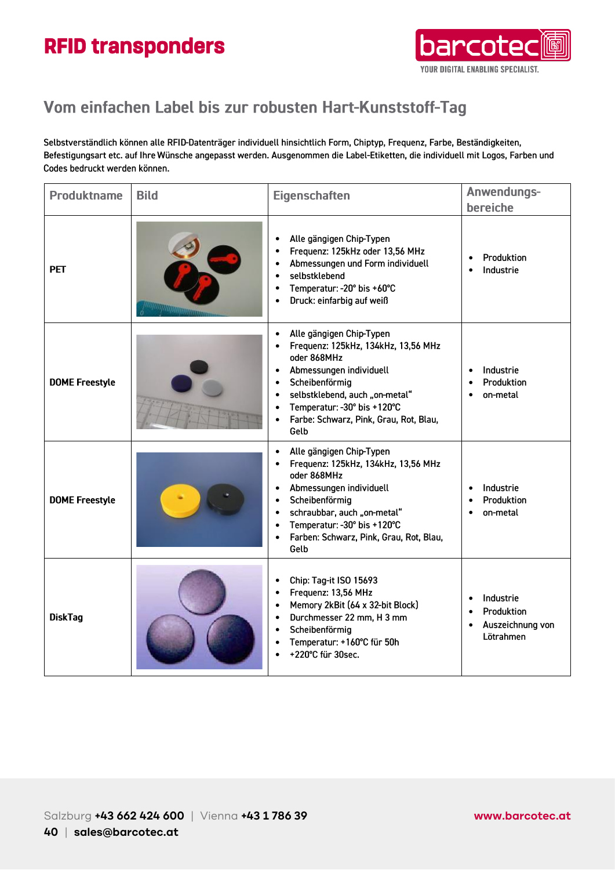

### Vom einfachen Label bis zur robusten Hart-Kunststoff-Tag

Selbstverständlich können alle RFID-Datenträger individuell hinsichtlich Form, Chiptyp, Frequenz, Farbe, Beständigkeiten, Befestigungsart etc. auf Ihre Wünsche angepasst werden. Ausgenommen die Label-Etiketten, die individuell mit Logos, Farben und Codes bedruckt werden können.

| <b>Produktname</b>    | <b>Bild</b> | <b>Eigenschaften</b>                                                                                                                                                                                                                                                                             | Anwendungs-<br>bereiche                                                                         |
|-----------------------|-------------|--------------------------------------------------------------------------------------------------------------------------------------------------------------------------------------------------------------------------------------------------------------------------------------------------|-------------------------------------------------------------------------------------------------|
| <b>PET</b>            |             | Alle gängigen Chip-Typen<br>Frequenz: 125kHz oder 13,56 MHz<br>$\bullet$<br>Abmessungen und Form individuell<br>$\bullet$<br>selbstklebend<br>$\bullet$<br>Temperatur: - 20° bis +60°C<br>$\bullet$<br>Druck: einfarbig auf weiß                                                                 | Produktion<br>Industrie<br>$\bullet$                                                            |
| <b>DOME Freestyle</b> |             | Alle gängigen Chip-Typen<br>Frequenz: 125kHz, 134kHz, 13,56 MHz<br>oder 868MHz<br>Abmessungen individuell<br>Scheibenförmig<br>$\bullet$<br>selbstklebend, auch "on-metal"<br>$\bullet$<br>Temperatur: -30° bis +120°C<br>$\bullet$<br>Farbe: Schwarz, Pink, Grau, Rot, Blau,<br>Gelb            | Industrie<br>$\bullet$<br>Produktion<br>$\bullet$<br>on-metal                                   |
| <b>DOME Freestyle</b> |             | Alle gängigen Chip-Typen<br>Frequenz: 125kHz, 134kHz, 13,56 MHz<br>$\bullet$<br>oder 868MHz<br>Abmessungen individuell<br>Scheibenförmig<br>$\bullet$<br>schraubbar, auch "on-metal"<br>Temperatur: -30° bis +120°C<br>$\bullet$<br>Farben: Schwarz, Pink, Grau, Rot, Blau,<br>$\bullet$<br>Gelb | Industrie<br>$\bullet$<br>Produktion<br>$\bullet$<br>on-metal                                   |
| <b>DiskTag</b>        |             | Chip: Tag-it ISO 15693<br>$\bullet$<br>Frequenz: 13,56 MHz<br>$\bullet$<br>Memory 2kBit (64 x 32-bit Block)<br>$\bullet$<br>Durchmesser 22 mm, H 3 mm<br>$\bullet$<br>Scheibenförmig<br>$\bullet$<br>Temperatur: +160°C für 50h<br>$\bullet$<br>+220°C für 30sec.<br>$\bullet$                   | Industrie<br>$\bullet$<br>Produktion<br>$\bullet$<br>Auszeichnung von<br>$\bullet$<br>Lötrahmen |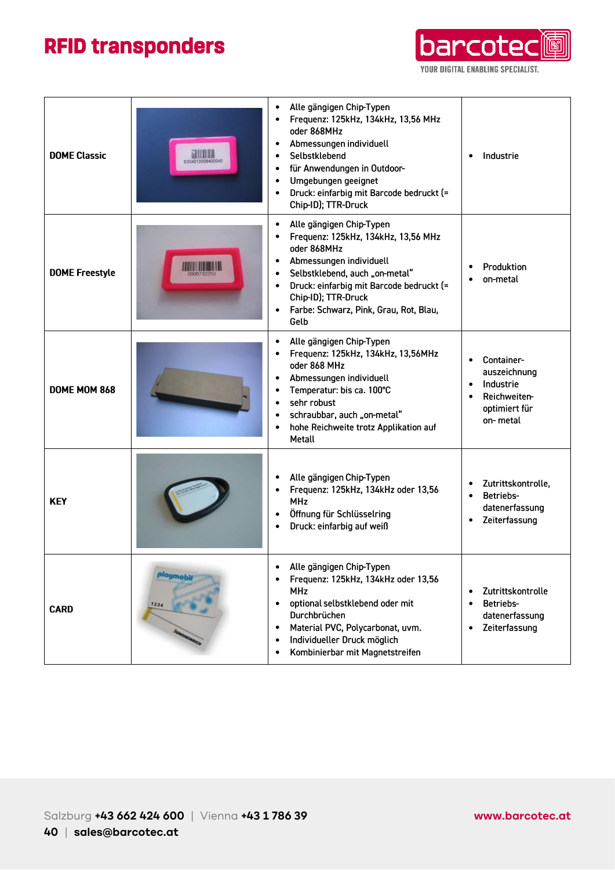

| <b>DOME Classic</b>   | <b>THE LINE</b><br>E004010008400040 | Alle gängigen Chip-Typen<br>Frequenz: 125kHz, 134kHz, 13,56 MHz<br>oder 868MHz<br>Abmessungen individuell<br>$\bullet$<br>Selbstklebend<br>$\bullet$<br>für Anwendungen in Outdoor-<br>$\bullet$<br>Umgebungen geeignet<br>$\bullet$<br>Druck: einfarbig mit Barcode bedruckt (=<br>$\bullet$<br>Chip-ID); TTR-Druck | Industrie                                                                                                                   |
|-----------------------|-------------------------------------|----------------------------------------------------------------------------------------------------------------------------------------------------------------------------------------------------------------------------------------------------------------------------------------------------------------------|-----------------------------------------------------------------------------------------------------------------------------|
| <b>DOME Freestyle</b> |                                     | Alle gängigen Chip-Typen<br>$\bullet$<br>Frequenz: 125kHz, 134kHz, 13,56 MHz<br>oder 868MHz<br>Abmessungen individuell<br>$\bullet$<br>Selbstklebend, auch "on-metal"<br>Druck: einfarbig mit Barcode bedruckt (=<br>$\bullet$<br>Chip-ID); TTR-Druck<br>Farbe: Schwarz, Pink, Grau, Rot, Blau,<br>$\bullet$<br>Gelb | Produktion<br>on-metal                                                                                                      |
| DOME MOM 868          |                                     | Alle gängigen Chip-Typen<br>$\bullet$<br>Frequenz: 125kHz, 134kHz, 13,56MHz<br>oder 868 MHz<br>Abmessungen individuell<br>Temperatur: bis ca. 100°C<br>sehr robust<br>$\bullet$<br>schraubbar, auch "on-metal"<br>$\bullet$<br>hohe Reichweite trotz Applikation auf<br>$\bullet$<br>Metall                          | Container-<br>$\bullet$<br>auszeichnung<br>Industrie<br>$\bullet$<br>Reichweiten-<br>$\bullet$<br>optimiert für<br>on-metal |
| <b>KEY</b>            |                                     | Alle gängigen Chip-Typen<br>Frequenz: 125kHz, 134kHz oder 13,56<br><b>MHz</b><br>Öffnung für Schlüsselring<br>$\bullet$<br>Druck: einfarbig auf weiß<br>$\bullet$                                                                                                                                                    | Zutrittskontrolle,<br>$\bullet$<br>Betriebs-<br>$\bullet$<br>datenerfassung<br>Zeiterfassung<br>$\bullet$                   |
| <b>CARD</b>           | playmob<br>1234                     | Alle gängigen Chip-Typen<br>Frequenz: 125kHz, 134kHz oder 13,56<br><b>MHz</b><br>optional selbstklebend oder mit<br>Durchbrüchen<br>Material PVC, Polycarbonat, uvm.<br>Individueller Druck möglich<br>Kombinierbar mit Magnetstreifen<br>$\bullet$                                                                  | Zutrittskontrolle<br>$\bullet$<br>Betriebs-<br>$\bullet$<br>datenerfassung<br>Zeiterfassung<br>$\bullet$                    |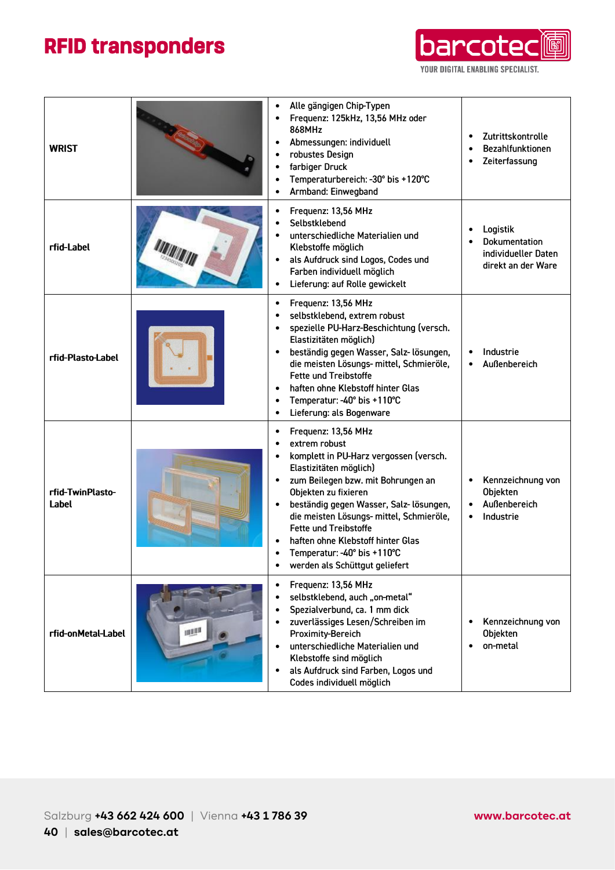

| <b>WRIST</b>              |    | Alle gängigen Chip-Typen<br>Frequenz: 125kHz, 13,56 MHz oder<br>868MHz<br>Abmessungen: individuell<br>$\bullet$<br>robustes Design<br>$\bullet$<br>farbiger Druck<br>Temperaturbereich: - 30° bis +120°C<br>Armband: Einwegband<br>$\bullet$                                                                                                                                                                      | Zutrittskontrolle<br>$\bullet$<br>Bezahlfunktionen<br>٠<br>Zeiterfassung<br>$\bullet$ |
|---------------------------|----|-------------------------------------------------------------------------------------------------------------------------------------------------------------------------------------------------------------------------------------------------------------------------------------------------------------------------------------------------------------------------------------------------------------------|---------------------------------------------------------------------------------------|
| rfid-Label                |    | Frequenz: 13,56 MHz<br>Selbstklebend<br>$\bullet$<br>unterschiedliche Materialien und<br>Klebstoffe möglich<br>als Aufdruck sind Logos, Codes und<br>$\bullet$<br>Farben individuell möglich<br>Lieferung: auf Rolle gewickelt<br>$\bullet$                                                                                                                                                                       | Logistik<br>Dokumentation<br>individueller Daten<br>direkt an der Ware                |
| rfid-Plasto-Label         |    | Frequenz: 13,56 MHz<br>$\bullet$<br>selbstklebend, extrem robust<br>$\bullet$<br>spezielle PU-Harz-Beschichtung (versch.<br>$\bullet$<br>Elastizitäten möglich)<br>beständig gegen Wasser, Salz- lösungen,<br>$\bullet$<br>die meisten Lösungs- mittel, Schmieröle,<br><b>Fette und Treibstoffe</b><br>haften ohne Klebstoff hinter Glas<br>Temperatur: - 40° bis +110°C<br>Lieferung: als Bogenware<br>$\bullet$ | Industrie<br>Außenbereich<br>$\bullet$                                                |
| rfid-TwinPlasto-<br>Label |    | Frequenz: 13,56 MHz<br>$\bullet$<br>extrem robust<br>komplett in PU-Harz vergossen (versch.<br>Elastizitäten möglich)<br>zum Beilegen bzw. mit Bohrungen an<br>Objekten zu fixieren<br>beständig gegen Wasser, Salz- lösungen,<br>die meisten Lösungs- mittel, Schmieröle,<br><b>Fette und Treibstoffe</b><br>haften ohne Klebstoff hinter Glas<br>Temperatur: - 40° bis +110°C<br>werden als Schüttgut geliefert | Kennzeichnung von<br>$\bullet$<br>Objekten<br>Außenbereich<br>Industrie               |
| rfid-onMetal-Label        | 山胆 | Frequenz: 13,56 MHz<br>$\bullet$<br>selbstklebend, auch "on-metal"<br>Spezialverbund, ca. 1 mm dick<br>zuverlässiges Lesen/Schreiben im<br>Proximity-Bereich<br>unterschiedliche Materialien und<br>Klebstoffe sind möglich<br>als Aufdruck sind Farben, Logos und<br>Codes individuell möglich                                                                                                                   | Kennzeichnung von<br>Objekten<br>on-metal                                             |